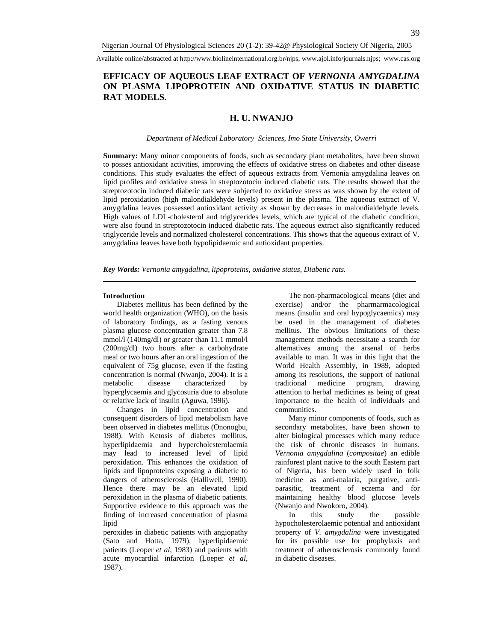Available online/abstracted at http://www.biolineinternational.org.br/njps; www.ajol.info/journals.njps; www.cas.org

# **EFFICACY OF AQUEOUS LEAF EXTRACT OF** *VERNONIA AMYGDALINA* **ON PLASMA LIPOPROTEIN AND OXIDATIVE STATUS IN DIABETIC RAT MODELS.**

# **H. U. NWANJO**

#### *Department of Medical Laboratory Sciences, Imo State University, Owerri*

**Summary:** Many minor components of foods, such as secondary plant metabolites, have been shown to posses antioxidant activities, improving the effects of oxidative stress on diabetes and other disease conditions. This study evaluates the effect of aqueous extracts from Vernonia amygdalina leaves on lipid profiles and oxidative stress in streptozotocin induced diabetic rats. The results showed that the streptozotocin induced diabetic rats were subjected to oxidative stress as was shown by the extent of lipid peroxidation (high malondialdehyde levels) present in the plasma. The aqueous extract of V. amygdalina leaves possessed antioxidant activity as shown by decreases in malondialdehyde levels. High values of LDL-cholesterol and triglycerides levels, which are typical of the diabetic condition, were also found in streptozotocin induced diabetic rats. The aqueous extract also significantly reduced triglyceride levels and normalized cholesterol concentrations. This shows that the aqueous extract of V. amygdalina leaves have both hypolipidaemic and antioxidant properties.

*Key Words: Vernonia amygdalina, lipoproteins, oxidative status, Diabetic rats.* 

#### **Introduction**

Diabetes mellitus has been defined by the world health organization (WHO), on the basis of laboratory findings, as a fasting venous plasma glucose concentration greater than 7.8 mmol/l (140mg/dl) or greater than 11.1 mmol/l (200mg/dl) two hours after a carbohydrate meal or two hours after an oral ingestion of the equivalent of 75g glucose, even if the fasting concentration is normal (Nwanjo, 2004). It is a metabolic disease characterized by hyperglycaemia and glycosuria due to absolute or relative lack of insulin (Aguwa, 1996).

Changes in lipid concentration and consequent disorders of lipid metabolism have been observed in diabetes mellitus (Ononogbu, 1988). With Ketosis of diabetes mellitus, hyperlipidaemia and hypercholesterolaemia may lead to increased level of lipid peroxidation. This enhances the oxidation of lipids and lipoproteins exposing a diabetic to dangers of atherosclerosis (Halliwell, 1990). Hence there may be an elevated lipid peroxidation in the plasma of diabetic patients. Supportive evidence to this approach was the finding of increased concentration of plasma lipid

peroxides in diabetic patients with angiopathy (Sato and Hotta, 1979), hyperlipidaemic patients (Leoper *et al*, 1983) and patients with acute myocardial infarction (Loeper *et al*, 1987).

The non-pharmacological means (diet and exercise) and/or the pharmarmacological means (insulin and oral hypoglycaemics) may be used in the management of diabetes mellitus. The obvious limitations of these management methods necessitate a search for alternatives among the arsenal of herbs available to man. It was in this light that the World Health Assembly, in 1989, adopted among its resolutions, the support of national traditional medicine program, drawing attention to herbal medicines as being of great importance to the health of individuals and communities.

Many minor components of foods, such as secondary metabolites, have been shown to alter biological processes which many reduce the risk of chronic diseases in humans. *Vernonia amygdalina* (*compositae*) an edible rainforest plant native to the south Eastern part of Nigeria, has been widely used in folk medicine as anti-malaria, purgative, antiparasitic, treatment of eczema and for maintaining healthy blood glucose levels (Nwanjo and Nwokoro, 2004).

In this study the possible hypocholesterolaemic potential and antioxidant property of *V. amygdalina* were investigated for its possible use for prophylaxis and treatment of atherosclerosis commonly found in diabetic diseases.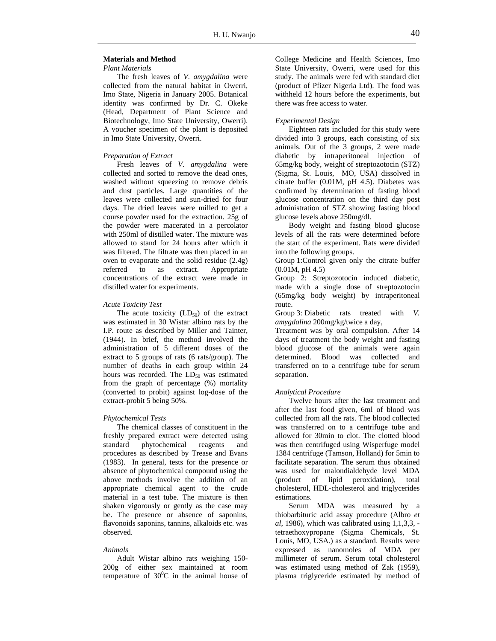# **Materials and Method**

#### *Plant Materials*

The fresh leaves of *V. amygdalina* were collected from the natural habitat in Owerri, Imo State, Nigeria in January 2005. Botanical identity was confirmed by Dr. C. Okeke (Head, Department of Plant Science and Biotechnology, Imo State University, Owerri). A voucher specimen of the plant is deposited in Imo State University, Owerri.

# *Preparation of Extract*

Fresh leaves of *V. amygdalina* were collected and sorted to remove the dead ones, washed without squeezing to remove debris and dust particles. Large quantities of the leaves were collected and sun-dried for four days. The dried leaves were milled to get a course powder used for the extraction. 25g of the powder were macerated in a percolator with 250ml of distilled water. The mixture was allowed to stand for 24 hours after which it was filtered. The filtrate was then placed in an oven to evaporate and the solid residue (2.4g) referred to as extract. Appropriate concentrations of the extract were made in distilled water for experiments.

#### *Acute Toxicity Test*

The acute toxicity  $(LD_{50})$  of the extract was estimated in 30 Wistar albino rats by the I.P. route as described by Miller and Tainter, (1944). In brief, the method involved the administration of 5 different doses of the extract to 5 groups of rats (6 rats/group). The number of deaths in each group within 24 hours was recorded. The  $LD_{50}$  was estimated from the graph of percentage (%) mortality (converted to probit) against log-dose of the extract-probit 5 being 50%.

#### *Phytochemical Tests*

The chemical classes of constituent in the freshly prepared extract were detected using standard phytochemical reagents and procedures as described by Trease and Evans (1983). In general, tests for the presence or absence of phytochemical compound using the above methods involve the addition of an appropriate chemical agent to the crude material in a test tube. The mixture is then shaken vigorously or gently as the case may be. The presence or absence of saponins, flavonoids saponins, tannins, alkaloids etc. was observed.

#### *Animals*

Adult Wistar albino rats weighing 150- 200g of either sex maintained at room temperature of  $30^{\circ}$ C in the animal house of College Medicine and Health Sciences, Imo State University, Owerri, were used for this study. The animals were fed with standard diet (product of Pfizer Nigeria Ltd). The food was withheld 12 hours before the experiments, but there was free access to water.

#### *Experimental Design*

Eighteen rats included for this study were divided into 3 groups, each consisting of six animals. Out of the 3 groups, 2 were made diabetic by intraperitoneal injection of 65mg/kg body, weight of streptozotocin (STZ) (Sigma, St. Louis, MO, USA) dissolved in citrate buffer (0.01M, pH 4.5). Diabetes was confirmed by determination of fasting blood glucose concentration on the third day post administration of STZ showing fasting blood glucose levels above 250mg/dl.

Body weight and fasting blood glucose levels of all the rats were determined before the start of the experiment. Rats were divided into the following groups.

Group 1: Control given only the citrate buffer (0.01M, pH 4.5)

Group 2: Streptozotocin induced diabetic, made with a single dose of streptozotocin (65mg/kg body weight) by intraperitoneal route.

Group 3: Diabetic rats treated with *V. amygdalina* 200mg/kg/twice a day,

Treatment was by oral compulsion. After 14 days of treatment the body weight and fasting blood glucose of the animals were again determined. Blood was collected and transferred on to a centrifuge tube for serum separation.

# *Analytical Procedure*

Twelve hours after the last treatment and after the last food given, 6ml of blood was collected from all the rats. The blood collected was transferred on to a centrifuge tube and allowed for 30min to clot. The clotted blood was then centrifuged using Wisperfuge model 1384 centrifuge (Tamson, Holland) for 5min to facilitate separation. The serum thus obtained was used for malondialdehyde level MDA (product of lipid peroxidation), total cholesterol, HDL-cholesterol and triglycerides estimations.

Serum MDA was measured by a thiobarbituric acid assay procedure (Albro *et al*, 1986), which was calibrated using 1,1,3,3, tetraethoxypropane (Sigma Chemicals, St. Louis, MO, USA.) as a standard. Results were expressed as nanomoles of MDA per millimeter of serum. Serum total cholesterol was estimated using method of Zak (1959), plasma triglyceride estimated by method of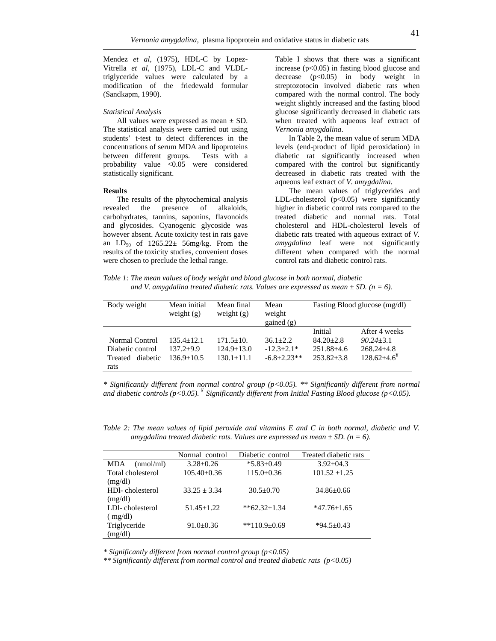Mendez *et al,* (1975), HDL-C by Lopez-Vitrella *et al*, (1975), LDL-C and VLDLtriglyceride values were calculated by a modification of the friedewald formular (Sandkapm, 1990).

# *Statistical Analysis*

All values were expressed as mean  $\pm$  SD. The statistical analysis were carried out using students' t-test to detect differences in the concentrations of serum MDA and lipoproteins between different groups. Tests with a probability value <0.05 were considered statistically significant.

# **Results**

The results of the phytochemical analysis revealed the presence of alkaloids, carbohydrates, tannins, saponins, flavonoids and glycosides. Cyanogenic glycoside was however absent. Acute toxicity test in rats gave an  $LD_{50}$  of  $1265.22 \pm 56$  mg/kg. From the results of the toxicity studies, convenient doses were chosen to preclude the lethal range.

Table I shows that there was a significant increase  $(p<0.05)$  in fasting blood glucose and decrease  $(p<0.05)$  in body weight in streptozotocin involved diabetic rats when compared with the normal control. The body weight slightly increased and the fasting blood glucose significantly decreased in diabetic rats when treated with aqueous leaf extract of *Vernonia amygdalina*.

In Table 2**,** the mean value of serum MDA levels (end-product of lipid peroxidation) in diabetic rat significantly increased when compared with the control but significantly decreased in diabetic rats treated with the aqueous leaf extract of *V. amygdalina.* 

The mean values of triglycerides and LDL-cholesterol (p<0.05) were significantly higher in diabetic control rats compared to the treated diabetic and normal rats. Total cholesterol and HDL-cholesterol levels of diabetic rats treated with aqueous extract of *V. amygdalina* leaf were not significantly different when compared with the normal control rats and diabetic control rats.

*Table 1: The mean values of body weight and blood glucose in both normal, diabetic*  and V. amygdalina treated diabetic rats. Values are expressed as mean  $\pm SD$ . (n = 6).

| Body weight         | Mean initial<br>weight $(g)$ | Mean final<br>weight $(g)$ | Mean<br>weight<br>gained $(g)$ | Fasting Blood glucose (mg/dl) |                  |
|---------------------|------------------------------|----------------------------|--------------------------------|-------------------------------|------------------|
|                     |                              |                            |                                | Initial                       | After 4 weeks    |
| Normal Control      | $135.4 + 12.1$               | $171.5 \pm 10.$            | $36.1 + 2.2$                   | $84.20 + 2.8$                 | $90.24 + 3.1$    |
| Diabetic control    | $137.2 + 9.9$                | $124.9 \pm 13.0$           | $-12.3+2.1*$                   | $251.88 + 4.6$                | $268.24 + 4.8$   |
| diabetic<br>Treated | $136.9 + 10.5$               | $130.1 + 11.1$             | $-6.8+2.23**$                  | $253.82 + 3.8$                | $128.62 + 4.6^*$ |
| rats                |                              |                            |                                |                               |                  |

*\* Significantly different from normal control group (p<0.05). \*\* Significantly different from normal and diabetic controls (p<0.05). ¥ Significantly different from Initial Fasting Blood glucose (p<0.05).* 

*Table 2: The mean values of lipid peroxide and vitamins E and C in both normal, diabetic and V. amygdalina treated diabetic rats. Values are expressed as mean*  $\pm$  *SD.* (*n* = 6).

|                         | Normal control    | Diabetic control   | Treated diabetic rats |
|-------------------------|-------------------|--------------------|-----------------------|
| (mmol/ml)<br><b>MDA</b> | $3.28 + 0.26$     | $*5.83 \pm 0.49$   | $3.92 + 04.3$         |
| Total cholesterol       | $105.40 \pm 0.36$ | $115.0 \pm 0.36$   | $101.52 + 1.25$       |
| (mg/dl)                 |                   |                    |                       |
| HDI-cholesterol         | $33.25 + 3.34$    | $30.5 + 0.70$      | $34.86 \pm 0.66$      |
| (mg/dl)                 |                   |                    |                       |
| LDI-cholesterol         | $51.45 \pm 1.22$  | $*$ $62.32+1.34$   | $*47.76 \pm 1.65$     |
| (mg/dl)                 |                   |                    |                       |
| Triglyceride            | $91.0 \pm 0.36$   | **110.9 $\pm$ 0.69 | $*94.5 \pm 0.43$      |
| (mg/dl)                 |                   |                    |                       |

*\* Significantly different from normal control group (p<0.05)* 

*\*\* Significantly different from normal control and treated diabetic rats (p<0.05)*